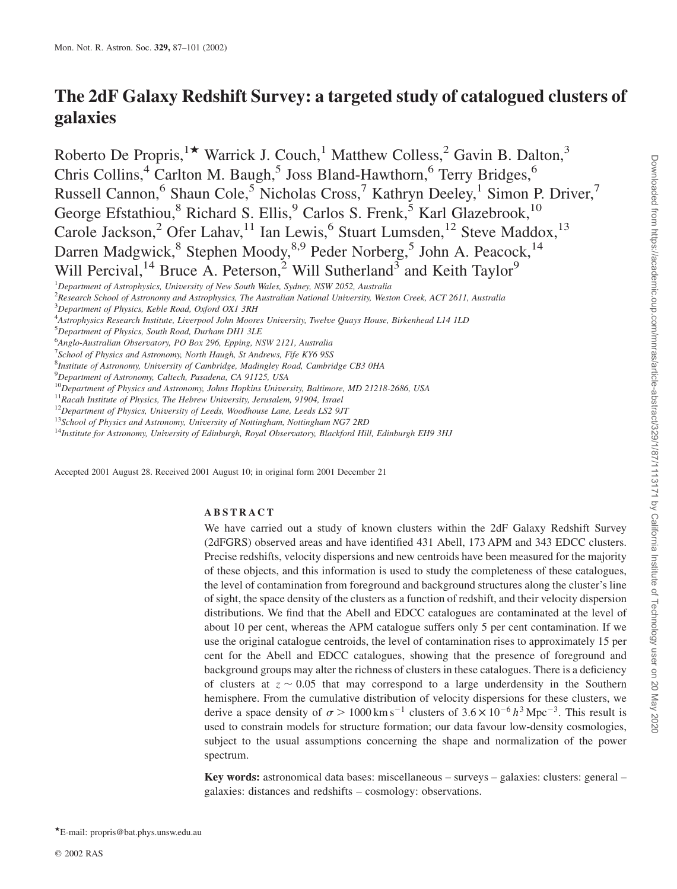# The 2dF Galaxy Redshift Survey: a targeted study of catalogued clusters of galaxies

Roberto De Propris,<sup>1\*</sup> Warrick J. Couch,<sup>1</sup> Matthew Colless,<sup>2</sup> Gavin B. Dalton,<sup>3</sup> Chris Collins,<sup>4</sup> Carlton M. Baugh,<sup>5</sup> Joss Bland-Hawthorn,<sup>6</sup> Terry Bridges,<sup>6</sup> Russell Cannon,<sup>6</sup> Shaun Cole,<sup>5</sup> Nicholas Cross,<sup>7</sup> Kathryn Deeley,<sup>1</sup> Simon P. Driver,<sup>7</sup> George Efstathiou,<sup>8</sup> Richard S. Ellis,<sup>9</sup> Carlos S. Frenk,<sup>5</sup> Karl Glazebrook,<sup>10</sup> Carole Jackson,<sup>2</sup> Ofer Lahav,<sup>11</sup> Ian Lewis,<sup>6</sup> Stuart Lumsden,<sup>12</sup> Steve Maddox,<sup>13</sup> Darren Madgwick,<sup>8</sup> Stephen Moody,<sup>8,9</sup> Peder Norberg,<sup>5</sup> John A. Peacock,<sup>14</sup> Will Percival,<sup>14</sup> Bruce A. Peterson,<sup>2</sup> Will Sutherland<sup>3</sup> and Keith Taylor<sup>9</sup>

<sup>1</sup>Department of Astrophysics, University of New South Wales, Sydney, NSW 2052, Australia

<sup>7</sup> School of Physics and Astronomy, North Haugh, St Andrews, Fife KY6 9SS

<sup>9</sup>Department of Astronomy, Caltech, Pasadena, CA 91125, USA

 $^{10}$ Department of Physics and Astronomy, Johns Hopkins University, Baltimore, MD 21218-2686, USA

- $11$ Racah Institute of Physics, The Hebrew University, Jerusalem, 91904, Israel
- $12$ Department of Physics, University of Leeds, Woodhouse Lane, Leeds LS2 9JT
- <sup>13</sup>School of Physics and Astronomy, University of Nottingham, Nottingham NG7 2RD
- <sup>14</sup>Institute for Astronomy, University of Edinburgh, Royal Observatory, Blackford Hill, Edinburgh EH9 3HJ

Accepted 2001 August 28. Received 2001 August 10; in original form 2001 December 21

## ABSTRACT

We have carried out a study of known clusters within the 2dF Galaxy Redshift Survey (2dFGRS) observed areas and have identified 431 Abell, 173 APM and 343 EDCC clusters. Precise redshifts, velocity dispersions and new centroids have been measured for the majority of these objects, and this information is used to study the completeness of these catalogues, the level of contamination from foreground and background structures along the cluster's line of sight, the space density of the clusters as a function of redshift, and their velocity dispersion distributions. We find that the Abell and EDCC catalogues are contaminated at the level of about 10 per cent, whereas the APM catalogue suffers only 5 per cent contamination. If we use the original catalogue centroids, the level of contamination rises to approximately 15 per cent for the Abell and EDCC catalogues, showing that the presence of foreground and background groups may alter the richness of clusters in these catalogues. There is a deficiency of clusters at  $z \sim 0.05$  that may correspond to a large underdensity in the Southern hemisphere. From the cumulative distribution of velocity dispersions for these clusters, we derive a space density of  $\sigma > 1000 \,\mathrm{km \, s^{-1}}$  clusters of  $3.6 \times 10^{-6} \, h^3 \,\mathrm{Mpc}^{-3}$ . This result is used to constrain models for structure formation; our data favour low-density cosmologies, subject to the usual assumptions concerning the shape and normalization of the power spectrum.

Key words: astronomical data bases: miscellaneous – surveys – galaxies: clusters: general – galaxies: distances and redshifts – cosmology: observations.

<sup>&</sup>lt;sup>2</sup> Research School of Astronomy and Astrophysics, The Australian National University, Weston Creek, ACT 2611, Australia

<sup>&</sup>lt;sup>3</sup>Department of Physics, Keble Road, Oxford OX1 3RH

<sup>4</sup> Astrophysics Research Institute, Liverpool John Moores University, Twelve Quays House, Birkenhead L14 1LD

<sup>5</sup> Department of Physics, South Road, Durham DH1 3LE

<sup>&</sup>lt;sup>6</sup>Anglo-Australian Observatory, PO Box 296, Epping, NSW 2121, Australia

<sup>&</sup>lt;sup>8</sup>Institute of Astronomy, University of Cambridge, Madingley Road, Cambridge CB3 0HA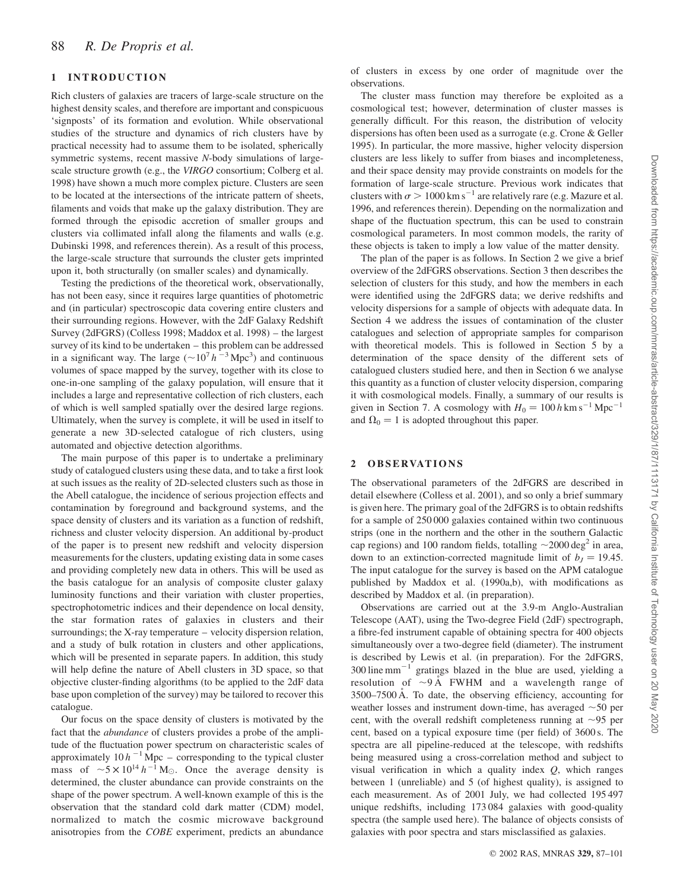## 1 INTRODUCTION

Rich clusters of galaxies are tracers of large-scale structure on the highest density scales, and therefore are important and conspicuous 'signposts' of its formation and evolution. While observational studies of the structure and dynamics of rich clusters have by practical necessity had to assume them to be isolated, spherically symmetric systems, recent massive N-body simulations of largescale structure growth (e.g., the VIRGO consortium; Colberg et al. 1998) have shown a much more complex picture. Clusters are seen to be located at the intersections of the intricate pattern of sheets, filaments and voids that make up the galaxy distribution. They are formed through the episodic accretion of smaller groups and clusters via collimated infall along the filaments and walls (e.g. Dubinski 1998, and references therein). As a result of this process, the large-scale structure that surrounds the cluster gets imprinted upon it, both structurally (on smaller scales) and dynamically.

Testing the predictions of the theoretical work, observationally, has not been easy, since it requires large quantities of photometric and (in particular) spectroscopic data covering entire clusters and their surrounding regions. However, with the 2dF Galaxy Redshift Survey (2dFGRS) (Colless 1998; Maddox et al. 1998) – the largest survey of its kind to be undertaken – this problem can be addressed in a significant way. The large  $({\sim}10^7 h^{-3}$  Mpc<sup>3</sup>) and continuous volumes of space mapped by the survey, together with its close to one-in-one sampling of the galaxy population, will ensure that it includes a large and representative collection of rich clusters, each of which is well sampled spatially over the desired large regions. Ultimately, when the survey is complete, it will be used in itself to generate a new 3D-selected catalogue of rich clusters, using automated and objective detection algorithms.

The main purpose of this paper is to undertake a preliminary study of catalogued clusters using these data, and to take a first look at such issues as the reality of 2D-selected clusters such as those in the Abell catalogue, the incidence of serious projection effects and contamination by foreground and background systems, and the space density of clusters and its variation as a function of redshift, richness and cluster velocity dispersion. An additional by-product of the paper is to present new redshift and velocity dispersion measurements for the clusters, updating existing data in some cases and providing completely new data in others. This will be used as the basis catalogue for an analysis of composite cluster galaxy luminosity functions and their variation with cluster properties, spectrophotometric indices and their dependence on local density, the star formation rates of galaxies in clusters and their surroundings; the X-ray temperature – velocity dispersion relation, and a study of bulk rotation in clusters and other applications, which will be presented in separate papers. In addition, this study will help define the nature of Abell clusters in 3D space, so that objective cluster-finding algorithms (to be applied to the 2dF data base upon completion of the survey) may be tailored to recover this catalogue.

Our focus on the space density of clusters is motivated by the fact that the abundance of clusters provides a probe of the amplitude of the fluctuation power spectrum on characteristic scales of approximately  $10 h^{-1}$  Mpc – corresponding to the typical cluster mass of  $\sim 5 \times 10^{14} h^{-1} M_{\odot}$ . Once the average density is determined, the cluster abundance can provide constraints on the shape of the power spectrum. A well-known example of this is the observation that the standard cold dark matter (CDM) model, normalized to match the cosmic microwave background anisotropies from the COBE experiment, predicts an abundance of clusters in excess by one order of magnitude over the observations.

The cluster mass function may therefore be exploited as a cosmological test; however, determination of cluster masses is generally difficult. For this reason, the distribution of velocity dispersions has often been used as a surrogate (e.g. Crone & Geller 1995). In particular, the more massive, higher velocity dispersion clusters are less likely to suffer from biases and incompleteness, and their space density may provide constraints on models for the formation of large-scale structure. Previous work indicates that clusters with  $\sigma > 1000 \text{ km s}^{-1}$  are relatively rare (e.g. Mazure et al. 1996, and references therein). Depending on the normalization and shape of the fluctuation spectrum, this can be used to constrain cosmological parameters. In most common models, the rarity of these objects is taken to imply a low value of the matter density.

The plan of the paper is as follows. In Section 2 we give a brief overview of the 2dFGRS observations. Section 3 then describes the selection of clusters for this study, and how the members in each were identified using the 2dFGRS data; we derive redshifts and velocity dispersions for a sample of objects with adequate data. In Section 4 we address the issues of contamination of the cluster catalogues and selection of appropriate samples for comparison with theoretical models. This is followed in Section 5 by a determination of the space density of the different sets of catalogued clusters studied here, and then in Section 6 we analyse this quantity as a function of cluster velocity dispersion, comparing it with cosmological models. Finally, a summary of our results is given in Section 7. A cosmology with  $H_0 = 100 h \text{ km s}^{-1} \text{ Mpc}^{-1}$ and  $\Omega_0 = 1$  is adopted throughout this paper.

#### 2 OBSERVATIONS

The observational parameters of the 2dFGRS are described in detail elsewhere (Colless et al. 2001), and so only a brief summary is given here. The primary goal of the 2dFGRS is to obtain redshifts for a sample of 250 000 galaxies contained within two continuous strips (one in the northern and the other in the southern Galactic cap regions) and 100 random fields, totalling  $\sim$  2000 deg<sup>2</sup> in area, down to an extinction-corrected magnitude limit of  $b<sub>I</sub> = 19.45$ . The input catalogue for the survey is based on the APM catalogue published by Maddox et al. (1990a,b), with modifications as described by Maddox et al. (in preparation).

Observations are carried out at the 3.9-m Anglo-Australian Telescope (AAT), using the Two-degree Field (2dF) spectrograph, a fibre-fed instrument capable of obtaining spectra for 400 objects simultaneously over a two-degree field (diameter). The instrument is described by Lewis et al. (in preparation). For the 2dFGRS,  $300$  line mm<sup>-1</sup> gratings blazed in the blue are used, yielding a resolution of  $\sim$ 9 Å FWHM and a wavelength range of 3500–7500 Å. To date, the observing efficiency, accounting for weather losses and instrument down-time, has averaged  $\sim$  50 per cent, with the overall redshift completeness running at  $\sim$ 95 per cent, based on a typical exposure time (per field) of 3600 s. The spectra are all pipeline-reduced at the telescope, with redshifts being measured using a cross-correlation method and subject to visual verification in which a quality index  $Q$ , which ranges between 1 (unreliable) and 5 (of highest quality), is assigned to each measurement. As of 2001 July, we had collected 195 497 unique redshifts, including 173 084 galaxies with good-quality spectra (the sample used here). The balance of objects consists of galaxies with poor spectra and stars misclassified as galaxies.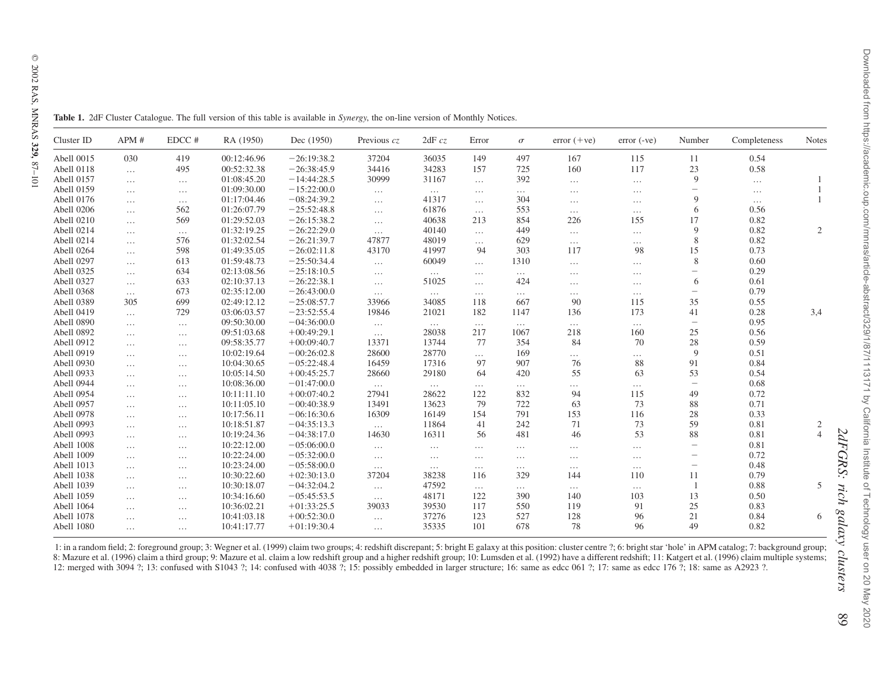2dFGRS: rich galaxy clusters

2dFGRS: rich galaxy clusters

89

| Cluster ID | APM #    | EDCC <sup>#</sup> | RA (1950)   | Dec (1950)    | Previous $cz$ | 2dF cz   | Error    | $\sigma$ | $error (+ve)$ | $error(-ve)$ | Number                   | Completeness | Notes          |
|------------|----------|-------------------|-------------|---------------|---------------|----------|----------|----------|---------------|--------------|--------------------------|--------------|----------------|
| Abell 0015 | 030      | 419               | 00:12:46.96 | $-26:19:38.2$ | 37204         | 36035    | 149      | 497      | 167           | 115          | 11                       | 0.54         |                |
| Abell 0118 | $\cdots$ | 495               | 00:52:32.38 | $-26:38:45.9$ | 34416         | 34283    | 157      | 725      | 160           | 117          | 23                       | 0.58         |                |
| Abell 0157 | $\cdots$ | $\cdots$          | 01:08:45.20 | $-14:44:28.5$ | 30999         | 31167    | $\cdots$ | 392      | $\ldots$      | $\cdots$     | 9                        | $\cdots$     |                |
| Abell 0159 | $\cdots$ | $\cdots$          | 01:09:30.00 | $-15:22:00.0$ | $\cdots$      | $\ldots$ | $\cdots$ | $\cdots$ | $\cdots$      | $\cdots$     |                          | $\cdots$     |                |
| Abell 0176 | $\cdots$ | $\cdots$          | 01:17:04.46 | $-08:24:39.2$ | $\cdots$      | 41317    | $\cdots$ | 304      | $\cdots$      | $\cdots$     | 9                        | $\ldots$     |                |
| Abell 0206 | $\cdots$ | 562               | 01:26:07.79 | $-25:52:48.8$ | $\cdots$      | 61876    | $\cdots$ | 553      | $\cdots$      | $\cdots$     | 6                        | 0.56         |                |
| Abell 0210 | $\cdots$ | 569               | 01:29:52.03 | $-26:15:38.2$ | $\cdots$      | 40638    | 213      | 854      | 226           | 155          | 17                       | 0.82         |                |
| Abell 0214 | $\cdots$ | $\cdots$          | 01:32:19.25 | $-26:22:29.0$ | $\cdots$      | 40140    | $\cdots$ | 449      | $\cdots$      | $\cdots$     | 9                        | 0.82         | $\overline{2}$ |
| Abell 0214 | $\cdots$ | 576               | 01:32:02.54 | $-26:21:39.7$ | 47877         | 48019    | $\cdots$ | 629      | $\cdots$      | $\cdots$     | 8                        | 0.82         |                |
| Abell 0264 | $\cdots$ | 598               | 01:49:35.05 | $-26:02:11.8$ | 43170         | 41997    | 94       | 303      | 117           | 98           | 15                       | 0.73         |                |
| Abell 0297 | $\cdots$ | 613               | 01:59:48.73 | $-25:50:34.4$ | $\cdots$      | 60049    | $\cdots$ | 1310     | $\cdots$      | $\cdots$     | 8                        | 0.60         |                |
| Abell 0325 | $\cdots$ | 634               | 02:13:08.56 | $-25:18:10.5$ | $\cdots$      | $\ldots$ | $\cdots$ | $\ldots$ | $\cdots$      | $\cdots$     | $\overline{\phantom{0}}$ | 0.29         |                |
| Abell 0327 | $\cdots$ | 633               | 02:10:37.13 | $-26:22:38.1$ | $\cdots$      | 51025    | $\cdots$ | 424      | $\cdots$      | $\cdots$     | 6                        | 0.61         |                |
| Abell 0368 | $\cdots$ | 673               | 02:35:12.00 | $-26:43:00.0$ | $\ldots$      | $\dots$  | $\cdots$ | $\cdots$ | $\cdots$      | $\cdots$     |                          | 0.79         |                |
| Abell 0389 | 305      | 699               | 02:49:12.12 | $-25:08:57.7$ | 33966         | 34085    | 118      | 667      | 90            | 115          | 35                       | 0.55         |                |
| Abell 0419 | $\cdots$ | 729               | 03:06:03.57 | $-23:52:55.4$ | 19846         | 21021    | 182      | 1147     | 136           | 173          | 41                       | 0.28         | 3,4            |
| Abell 0890 | $\cdots$ | $\cdots$          | 09:50:30.00 | $-04:36:00.0$ | $\ldots$      | $\cdots$ | $\cdots$ | $\cdots$ | $\cdots$      | $\cdots$     | $\overline{\phantom{0}}$ | 0.95         |                |
| Abell 0892 | $\cdots$ | $\cdots$          | 09:51:03.68 | $+00:49:29.1$ | $\cdots$      | 28038    | 217      | 1067     | 218           | 160          | 25                       | 0.56         |                |
| Abell 0912 | $\cdots$ | $\cdots$          | 09:58:35.77 | $+00:09:40.7$ | 13371         | 13744    | 77       | 354      | 84            | 70           | 28                       | 0.59         |                |
| Abell 0919 | $\cdots$ | $\cdots$          | 10:02:19.64 | $-00:26:02.8$ | 28600         | 28770    | $\cdots$ | 169      | .             | $\cdots$     | 9                        | 0.51         |                |
| Abell 0930 | $\cdots$ | $\cdots$          | 10:04:30.65 | $-05:22:48.4$ | 16459         | 17316    | 97       | 907      | 76            | 88           | 91                       | 0.84         |                |
| Abell 0933 | $\cdots$ | $\cdots$          | 10:05:14.50 | $+00:45:25.7$ | 28660         | 29180    | 64       | 420      | 55            | 63           | 53                       | 0.54         |                |
| Abell 0944 | $\cdots$ | $\cdots$          | 10:08:36.00 | $-01:47:00.0$ | $\ldots$      | $\dots$  | $\cdots$ | $\cdots$ | $\cdots$      | $\cdots$     | $\overline{\phantom{0}}$ | 0.68         |                |
| Abell 0954 | $\cdots$ | $\cdots$          | 10:11:11.10 | $+00:07:40.2$ | 27941         | 28622    | 122      | 832      | 94            | 115          | 49                       | 0.72         |                |
| Abell 0957 | $\cdots$ | $\cdots$          | 10:11:05.10 | $-00:40:38.9$ | 13491         | 13623    | 79       | 722      | 63            | 73           | 88                       | 0.71         |                |
| Abell 0978 | $\cdots$ | $\cdots$          | 10:17:56.11 | $-06:16:30.6$ | 16309         | 16149    | 154      | 791      | 153           | 116          | 28                       | 0.33         |                |
| Abell 0993 | $\cdots$ | $\cdots$          | 10:18:51.87 | $-04:35:13.3$ | $\ldots$      | 11864    | 41       | 242      | 71            | 73           | 59                       | 0.81         | 2              |
| Abell 0993 | $\cdots$ | $\cdots$          | 10:19:24.36 | $-04:38:17.0$ | 14630         | 16311    | 56       | 481      | 46            | 53           | 88                       | 0.81         | $\overline{4}$ |
| Abell 1008 | $\cdots$ | $\cdots$          | 10:22:12.00 | $-05:06:00.0$ | $\cdots$      | $\cdots$ | $\cdots$ | $\cdots$ | $\cdots$      | $\cdots$     | -                        | 0.81         |                |
| Abell 1009 | $\cdots$ | $\cdots$          | 10:22:24.00 | $-05:32:00.0$ | $\cdots$      | $\cdots$ | $\cdots$ | $\cdots$ | $\cdots$      | .            | -                        | 0.72         |                |
| Abell 1013 | $\cdots$ | $\cdots$          | 10:23:24.00 | $-05:58:00.0$ | $\cdots$      | $\dots$  | $\cdots$ | $\cdots$ | $\cdots$      | $\cdots$     |                          | 0.48         |                |
| Abell 1038 | $\cdots$ | $\cdots$          | 10:30:22.60 | $+02:30:13.0$ | 37204         | 38238    | 116      | 329      | 144           | 110          | 11                       | 0.79         |                |
| Abell 1039 | $\cdots$ | $\cdots$          | 10:30:18.07 | $-04:32:04.2$ | $\ldots$      | 47592    | $\cdots$ | $\cdots$ | $\ldots$      | $\cdots$     |                          | 0.88         | 5              |
| Abell 1059 | $\cdots$ | $\cdots$          | 10:34:16.60 | $-05:45:53.5$ | $\ldots$      | 48171    | 122      | 390      | 140           | 103          | 13                       | 0.50         |                |
| Abell 1064 | $\cdots$ | $\cdots$          | 10:36:02.21 | $+01:33:25.5$ | 39033         | 39530    | 117      | 550      | 119           | 91           | 25                       | 0.83         |                |
| Abell 1078 | $\cdots$ | $\cdots$          | 10:41:03.18 | $+00:52:30.0$ | $\ldots$      | 37276    | 123      | 527      | 128           | 96           | 21                       | 0.84         | 6              |
| Abell 1080 | $\cdots$ | $\cdots$          | 10:41:17.77 | $+01:19:30.4$ | $\cdots$      | 35335    | 101      | 678      | 78            | 96           | 49                       | 0.82         |                |

**Table 1.** 2dF Cluster Catalogue. The full version of this table is available in *Synergy*, the on-line version of Monthly Notices.

1: in <sup>a</sup> random field; 2: foreground group; 3: Wegner et al. (1999) claim two groups; 4: redshift discrepant; 5: bright E galaxy at this position: cluster centre ?; 6: bright star 'hole' in APM catalog; 7: background group; 8: Mazure et al. (1996) claim a third group; 9: Mazure et al. claim a low redshift group and a higher redshift group; 10: Lumsden et al. (1992) have a different redshift; 11: Katgert et al. (1996) claim multiple systems; 12: merged with 3094 ?; 13: confused with S1043 ?; 14: confused with 4038 ?; 15: possibly embedded in larger structure; 16: same as edcc 061 ?; 17: same as edcc 176 ?; 18: same as A2923 ?.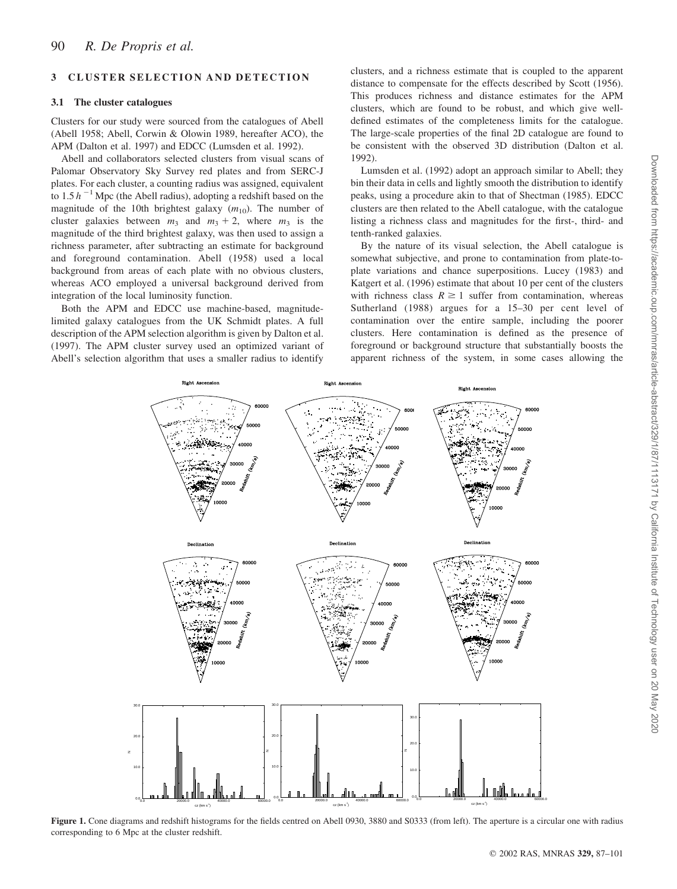## 3 CLUSTER SELECTION AND DETECTION

#### 3.1 The cluster catalogues

Clusters for our study were sourced from the catalogues of Abell (Abell 1958; Abell, Corwin & Olowin 1989, hereafter ACO), the APM (Dalton et al. 1997) and EDCC (Lumsden et al. 1992).

Abell and collaborators selected clusters from visual scans of Palomar Observatory Sky Survey red plates and from SERC-J plates. For each cluster, a counting radius was assigned, equivalent to  $1.5 h^{-1}$  Mpc (the Abell radius), adopting a redshift based on the magnitude of the 10th brightest galaxy  $(m_{10})$ . The number of cluster galaxies between  $m_3$  and  $m_3 + 2$ , where  $m_3$  is the magnitude of the third brightest galaxy, was then used to assign a richness parameter, after subtracting an estimate for background and foreground contamination. Abell (1958) used a local background from areas of each plate with no obvious clusters, whereas ACO employed a universal background derived from integration of the local luminosity function.

Both the APM and EDCC use machine-based, magnitudelimited galaxy catalogues from the UK Schmidt plates. A full description of the APM selection algorithm is given by Dalton et al. (1997). The APM cluster survey used an optimized variant of Abell's selection algorithm that uses a smaller radius to identify

clusters, and a richness estimate that is coupled to the apparent distance to compensate for the effects described by Scott (1956). This produces richness and distance estimates for the APM clusters, which are found to be robust, and which give welldefined estimates of the completeness limits for the catalogue. The large-scale properties of the final 2D catalogue are found to be consistent with the observed 3D distribution (Dalton et al. 1992).

Lumsden et al. (1992) adopt an approach similar to Abell; they bin their data in cells and lightly smooth the distribution to identify peaks, using a procedure akin to that of Shectman (1985). EDCC clusters are then related to the Abell catalogue, with the catalogue listing a richness class and magnitudes for the first-, third- and tenth-ranked galaxies.

By the nature of its visual selection, the Abell catalogue is somewhat subjective, and prone to contamination from plate-toplate variations and chance superpositions. Lucey (1983) and Katgert et al. (1996) estimate that about 10 per cent of the clusters with richness class  $R \ge 1$  suffer from contamination, whereas Sutherland (1988) argues for a 15–30 per cent level of contamination over the entire sample, including the poorer clusters. Here contamination is defined as the presence of foreground or background structure that substantially boosts the apparent richness of the system, in some cases allowing the



Figure 1. Cone diagrams and redshift histograms for the fields centred on Abell 0930, 3880 and S0333 (from left). The aperture is a circular one with radius corresponding to 6 Mpc at the cluster redshift.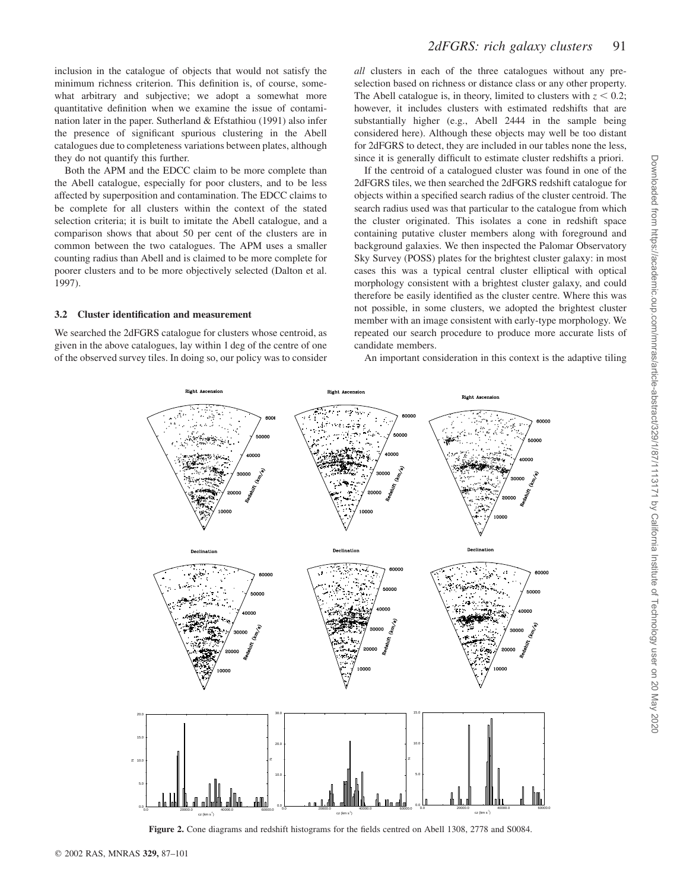inclusion in the catalogue of objects that would not satisfy the minimum richness criterion. This definition is, of course, somewhat arbitrary and subjective; we adopt a somewhat more quantitative definition when we examine the issue of contamination later in the paper. Sutherland & Efstathiou (1991) also infer the presence of significant spurious clustering in the Abell catalogues due to completeness variations between plates, although they do not quantify this further.

Both the APM and the EDCC claim to be more complete than the Abell catalogue, especially for poor clusters, and to be less affected by superposition and contamination. The EDCC claims to be complete for all clusters within the context of the stated selection criteria; it is built to imitate the Abell catalogue, and a comparison shows that about 50 per cent of the clusters are in common between the two catalogues. The APM uses a smaller counting radius than Abell and is claimed to be more complete for poorer clusters and to be more objectively selected (Dalton et al. 1997).

## 3.2 Cluster identification and measurement

We searched the 2dFGRS catalogue for clusters whose centroid, as given in the above catalogues, lay within 1 deg of the centre of one of the observed survey tiles. In doing so, our policy was to consider all clusters in each of the three catalogues without any preselection based on richness or distance class or any other property. The Abell catalogue is, in theory, limited to clusters with  $z < 0.2$ ; however, it includes clusters with estimated redshifts that are substantially higher (e.g., Abell 2444 in the sample being considered here). Although these objects may well be too distant for 2dFGRS to detect, they are included in our tables none the less, since it is generally difficult to estimate cluster redshifts a priori.

If the centroid of a catalogued cluster was found in one of the 2dFGRS tiles, we then searched the 2dFGRS redshift catalogue for objects within a specified search radius of the cluster centroid. The search radius used was that particular to the catalogue from which the cluster originated. This isolates a cone in redshift space containing putative cluster members along with foreground and background galaxies. We then inspected the Palomar Observatory Sky Survey (POSS) plates for the brightest cluster galaxy: in most cases this was a typical central cluster elliptical with optical morphology consistent with a brightest cluster galaxy, and could therefore be easily identified as the cluster centre. Where this was not possible, in some clusters, we adopted the brightest cluster member with an image consistent with early-type morphology. We repeated our search procedure to produce more accurate lists of candidate members.

An important consideration in this context is the adaptive tiling



Figure 2. Cone diagrams and redshift histograms for the fields centred on Abell 1308, 2778 and S0084.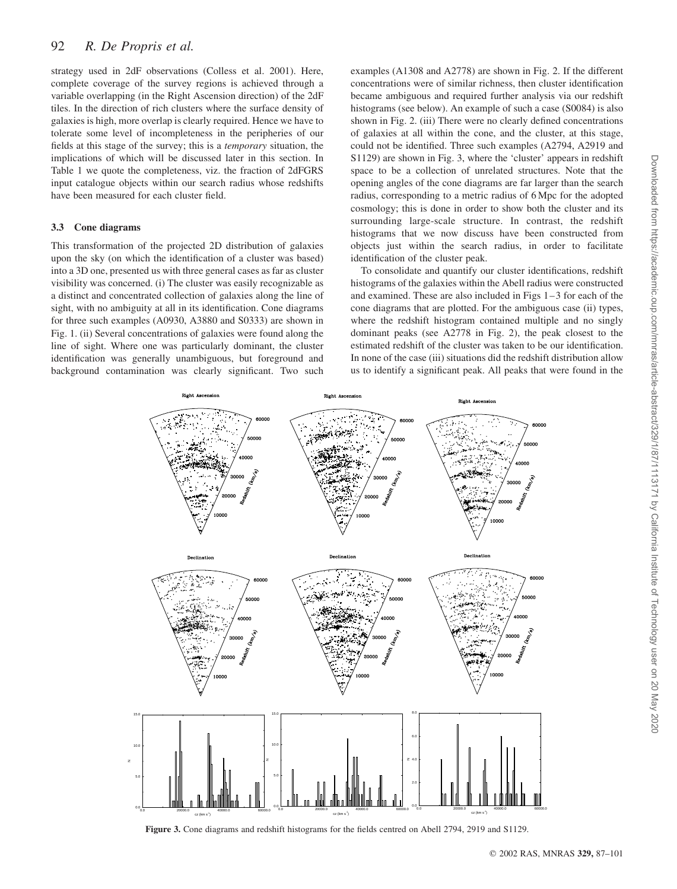# 92 R. De Propris et al.

strategy used in 2dF observations (Colless et al. 2001). Here, complete coverage of the survey regions is achieved through a variable overlapping (in the Right Ascension direction) of the 2dF tiles. In the direction of rich clusters where the surface density of galaxies is high, more overlap is clearly required. Hence we have to tolerate some level of incompleteness in the peripheries of our fields at this stage of the survey; this is a temporary situation, the implications of which will be discussed later in this section. In Table 1 we quote the completeness, viz. the fraction of 2dFGRS input catalogue objects within our search radius whose redshifts have been measured for each cluster field.

#### 3.3 Cone diagrams

This transformation of the projected 2D distribution of galaxies upon the sky (on which the identification of a cluster was based) into a 3D one, presented us with three general cases as far as cluster visibility was concerned. (i) The cluster was easily recognizable as a distinct and concentrated collection of galaxies along the line of sight, with no ambiguity at all in its identification. Cone diagrams for three such examples (A0930, A3880 and S0333) are shown in Fig. 1. (ii) Several concentrations of galaxies were found along the line of sight. Where one was particularly dominant, the cluster identification was generally unambiguous, but foreground and background contamination was clearly significant. Two such

examples (A1308 and A2778) are shown in Fig. 2. If the different concentrations were of similar richness, then cluster identification became ambiguous and required further analysis via our redshift histograms (see below). An example of such a case (S0084) is also shown in Fig. 2. (iii) There were no clearly defined concentrations of galaxies at all within the cone, and the cluster, at this stage, could not be identified. Three such examples (A2794, A2919 and S1129) are shown in Fig. 3, where the 'cluster' appears in redshift space to be a collection of unrelated structures. Note that the opening angles of the cone diagrams are far larger than the search radius, corresponding to a metric radius of 6 Mpc for the adopted cosmology; this is done in order to show both the cluster and its surrounding large-scale structure. In contrast, the redshift histograms that we now discuss have been constructed from objects just within the search radius, in order to facilitate identification of the cluster peak.

To consolidate and quantify our cluster identifications, redshift histograms of the galaxies within the Abell radius were constructed and examined. These are also included in Figs 1–3 for each of the cone diagrams that are plotted. For the ambiguous case (ii) types, where the redshift histogram contained multiple and no singly dominant peaks (see A2778 in Fig. 2), the peak closest to the estimated redshift of the cluster was taken to be our identification. In none of the case (iii) situations did the redshift distribution allow us to identify a significant peak. All peaks that were found in the



Figure 3. Cone diagrams and redshift histograms for the fields centred on Abell 2794, 2919 and S1129.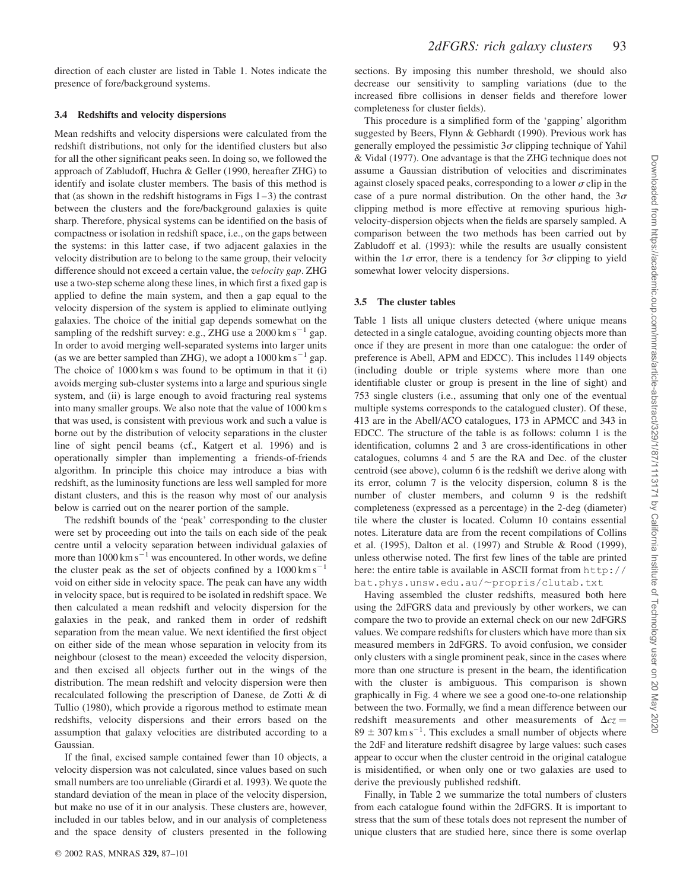direction of each cluster are listed in Table 1. Notes indicate the presence of fore/background systems.

## 3.4 Redshifts and velocity dispersions

Mean redshifts and velocity dispersions were calculated from the redshift distributions, not only for the identified clusters but also for all the other significant peaks seen. In doing so, we followed the approach of Zabludoff, Huchra & Geller (1990, hereafter ZHG) to identify and isolate cluster members. The basis of this method is that (as shown in the redshift histograms in Figs  $1-3$ ) the contrast between the clusters and the fore/background galaxies is quite sharp. Therefore, physical systems can be identified on the basis of compactness or isolation in redshift space, i.e., on the gaps between the systems: in this latter case, if two adjacent galaxies in the velocity distribution are to belong to the same group, their velocity difference should not exceed a certain value, the velocity gap. ZHG use a two-step scheme along these lines, in which first a fixed gap is applied to define the main system, and then a gap equal to the velocity dispersion of the system is applied to eliminate outlying galaxies. The choice of the initial gap depends somewhat on the sampling of the redshift survey: e.g., ZHG use a  $2000 \text{ km s}^{-1}$  gap. In order to avoid merging well-separated systems into larger units (as we are better sampled than ZHG), we adopt a  $1000 \text{ km s}^{-1}$  gap. The choice of 1000 km s was found to be optimum in that it (i) avoids merging sub-cluster systems into a large and spurious single system, and (ii) is large enough to avoid fracturing real systems into many smaller groups. We also note that the value of 1000 km s that was used, is consistent with previous work and such a value is borne out by the distribution of velocity separations in the cluster line of sight pencil beams (cf., Katgert et al. 1996) and is operationally simpler than implementing a friends-of-friends algorithm. In principle this choice may introduce a bias with redshift, as the luminosity functions are less well sampled for more distant clusters, and this is the reason why most of our analysis below is carried out on the nearer portion of the sample.

The redshift bounds of the 'peak' corresponding to the cluster were set by proceeding out into the tails on each side of the peak centre until a velocity separation between individual galaxies of more than  $1000 \text{ km s}^{-1}$  was encountered. In other words, we define the cluster peak as the set of objects confined by a  $1000 \text{ km s}^{-1}$ void on either side in velocity space. The peak can have any width in velocity space, but is required to be isolated in redshift space. We then calculated a mean redshift and velocity dispersion for the galaxies in the peak, and ranked them in order of redshift separation from the mean value. We next identified the first object on either side of the mean whose separation in velocity from its neighbour (closest to the mean) exceeded the velocity dispersion, and then excised all objects further out in the wings of the distribution. The mean redshift and velocity dispersion were then recalculated following the prescription of Danese, de Zotti & di Tullio (1980), which provide a rigorous method to estimate mean redshifts, velocity dispersions and their errors based on the assumption that galaxy velocities are distributed according to a Gaussian.

If the final, excised sample contained fewer than 10 objects, a velocity dispersion was not calculated, since values based on such small numbers are too unreliable (Girardi et al. 1993). We quote the standard deviation of the mean in place of the velocity dispersion, but make no use of it in our analysis. These clusters are, however, included in our tables below, and in our analysis of completeness and the space density of clusters presented in the following sections. By imposing this number threshold, we should also decrease our sensitivity to sampling variations (due to the increased fibre collisions in denser fields and therefore lower completeness for cluster fields).

This procedure is a simplified form of the 'gapping' algorithm suggested by Beers, Flynn & Gebhardt (1990). Previous work has generally employed the pessimistic  $3\sigma$  clipping technique of Yahil & Vidal (1977). One advantage is that the ZHG technique does not assume a Gaussian distribution of velocities and discriminates against closely spaced peaks, corresponding to a lower  $\sigma$  clip in the case of a pure normal distribution. On the other hand, the  $3\sigma$ clipping method is more effective at removing spurious highvelocity-dispersion objects when the fields are sparsely sampled. A comparison between the two methods has been carried out by Zabludoff et al. (1993): while the results are usually consistent within the  $1\sigma$  error, there is a tendency for  $3\sigma$  clipping to yield somewhat lower velocity dispersions.

## 3.5 The cluster tables

Table 1 lists all unique clusters detected (where unique means detected in a single catalogue, avoiding counting objects more than once if they are present in more than one catalogue: the order of preference is Abell, APM and EDCC). This includes 1149 objects (including double or triple systems where more than one identifiable cluster or group is present in the line of sight) and 753 single clusters (i.e., assuming that only one of the eventual multiple systems corresponds to the catalogued cluster). Of these, 413 are in the Abell/ACO catalogues, 173 in APMCC and 343 in EDCC. The structure of the table is as follows: column 1 is the identification, columns 2 and 3 are cross-identifications in other catalogues, columns 4 and 5 are the RA and Dec. of the cluster centroid (see above), column 6 is the redshift we derive along with its error, column 7 is the velocity dispersion, column 8 is the number of cluster members, and column 9 is the redshift completeness (expressed as a percentage) in the 2-deg (diameter) tile where the cluster is located. Column 10 contains essential notes. Literature data are from the recent compilations of Collins et al. (1995), Dalton et al. (1997) and Struble & Rood (1999), unless otherwise noted. The first few lines of the table are printed here: the entire table is available in ASCII format from http:// bat.phys.unsw.edu.au/~propris/clutab.txt

Having assembled the cluster redshifts, measured both here using the 2dFGRS data and previously by other workers, we can compare the two to provide an external check on our new 2dFGRS values. We compare redshifts for clusters which have more than six measured members in 2dFGRS. To avoid confusion, we consider only clusters with a single prominent peak, since in the cases where more than one structure is present in the beam, the identification with the cluster is ambiguous. This comparison is shown graphically in Fig. 4 where we see a good one-to-one relationship between the two. Formally, we find a mean difference between our redshift measurements and other measurements of  $\Delta cz =$  $89 \pm 307$  km s<sup>-1</sup>. This excludes a small number of objects where the 2dF and literature redshift disagree by large values: such cases appear to occur when the cluster centroid in the original catalogue is misidentified, or when only one or two galaxies are used to derive the previously published redshift.

Finally, in Table 2 we summarize the total numbers of clusters from each catalogue found within the 2dFGRS. It is important to stress that the sum of these totals does not represent the number of unique clusters that are studied here, since there is some overlap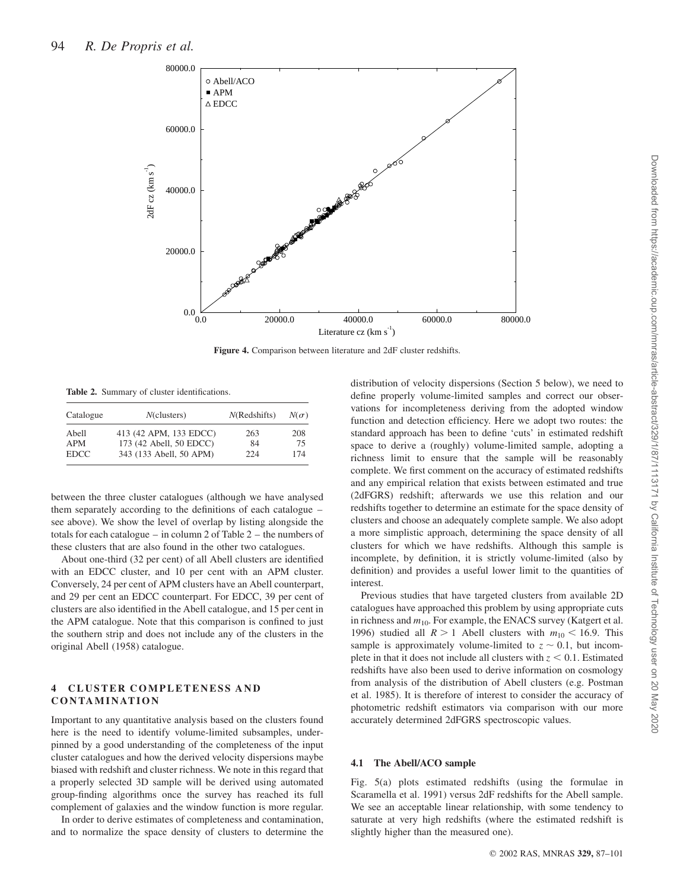

Figure 4. Comparison between literature and 2dF cluster redshifts.

Table 2. Summary of cluster identifications.

| Catalogue   | $N$ (clusters)          | N(Redshifts) | $N(\sigma)$ |
|-------------|-------------------------|--------------|-------------|
| Abell       | 413 (42 APM, 133 EDCC)  | 263          | 208         |
| APM         | 173 (42 Abell, 50 EDCC) | 84           | 75          |
| <b>EDCC</b> | 343 (133 Abell, 50 APM) | 224          | 174         |

between the three cluster catalogues (although we have analysed them separately according to the definitions of each catalogue – see above). We show the level of overlap by listing alongside the totals for each catalogue – in column 2 of Table 2 – the numbers of these clusters that are also found in the other two catalogues.

About one-third (32 per cent) of all Abell clusters are identified with an EDCC cluster, and 10 per cent with an APM cluster. Conversely, 24 per cent of APM clusters have an Abell counterpart, and 29 per cent an EDCC counterpart. For EDCC, 39 per cent of clusters are also identified in the Abell catalogue, and 15 per cent in the APM catalogue. Note that this comparison is confined to just the southern strip and does not include any of the clusters in the original Abell (1958) catalogue.

## 4 CLUSTER COMPLETENESS AND CONTAMINATION

Important to any quantitative analysis based on the clusters found here is the need to identify volume-limited subsamples, underpinned by a good understanding of the completeness of the input cluster catalogues and how the derived velocity dispersions maybe biased with redshift and cluster richness. We note in this regard that a properly selected 3D sample will be derived using automated group-finding algorithms once the survey has reached its full complement of galaxies and the window function is more regular.

In order to derive estimates of completeness and contamination, and to normalize the space density of clusters to determine the distribution of velocity dispersions (Section 5 below), we need to define properly volume-limited samples and correct our observations for incompleteness deriving from the adopted window function and detection efficiency. Here we adopt two routes: the standard approach has been to define 'cuts' in estimated redshift space to derive a (roughly) volume-limited sample, adopting a richness limit to ensure that the sample will be reasonably complete. We first comment on the accuracy of estimated redshifts and any empirical relation that exists between estimated and true (2dFGRS) redshift; afterwards we use this relation and our redshifts together to determine an estimate for the space density of clusters and choose an adequately complete sample. We also adopt a more simplistic approach, determining the space density of all clusters for which we have redshifts. Although this sample is incomplete, by definition, it is strictly volume-limited (also by definition) and provides a useful lower limit to the quantities of interest.

Previous studies that have targeted clusters from available 2D catalogues have approached this problem by using appropriate cuts in richness and  $m_{10}$ . For example, the ENACS survey (Katgert et al. 1996) studied all  $R > 1$  Abell clusters with  $m_{10} < 16.9$ . This sample is approximately volume-limited to  $z \sim 0.1$ , but incomplete in that it does not include all clusters with  $z \le 0.1$ . Estimated redshifts have also been used to derive information on cosmology from analysis of the distribution of Abell clusters (e.g. Postman et al. 1985). It is therefore of interest to consider the accuracy of photometric redshift estimators via comparison with our more accurately determined 2dFGRS spectroscopic values.

#### 4.1 The Abell/ACO sample

Fig. 5(a) plots estimated redshifts (using the formulae in Scaramella et al. 1991) versus 2dF redshifts for the Abell sample. We see an acceptable linear relationship, with some tendency to saturate at very high redshifts (where the estimated redshift is slightly higher than the measured one).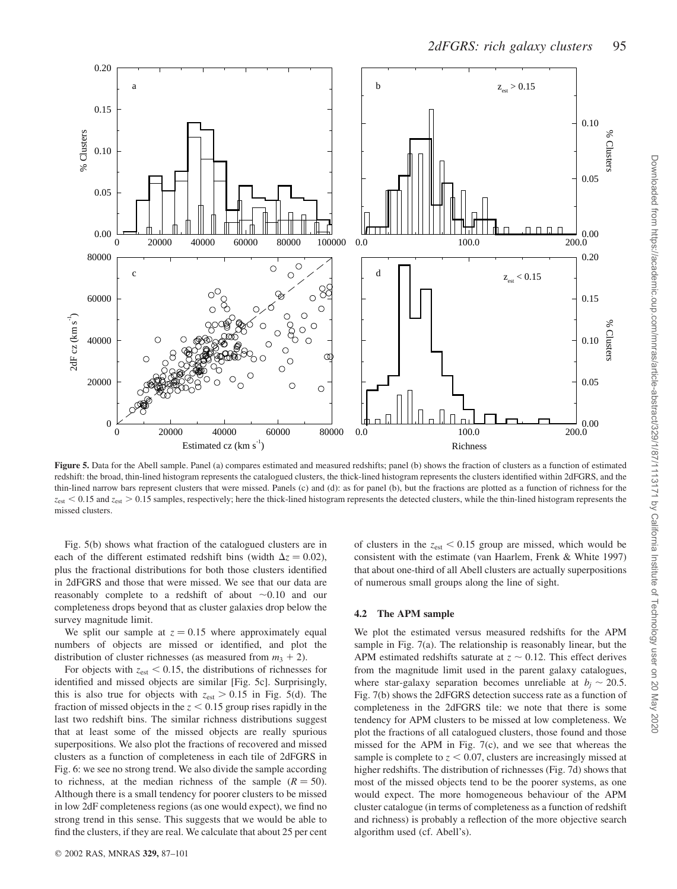

Figure 5. Data for the Abell sample. Panel (a) compares estimated and measured redshifts; panel (b) shows the fraction of clusters as a function of estimated redshift: the broad, thin-lined histogram represents the catalogued clusters, the thick-lined histogram represents the clusters identified within 2dFGRS, and the thin-lined narrow bars represent clusters that were missed. Panels (c) and (d): as for panel (b), but the fractions are plotted as a function of richness for the  $z_{est}$  < 0.15 and  $z_{est}$  > 0.15 samples, respectively; here the thick-lined histogram represents the detected clusters, while the thin-lined histogram represents the missed clusters.

Fig. 5(b) shows what fraction of the catalogued clusters are in each of the different estimated redshift bins (width  $\Delta z = 0.02$ ), plus the fractional distributions for both those clusters identified in 2dFGRS and those that were missed. We see that our data are reasonably complete to a redshift of about  $\sim 0.10$  and our completeness drops beyond that as cluster galaxies drop below the survey magnitude limit.

We split our sample at  $z = 0.15$  where approximately equal numbers of objects are missed or identified, and plot the distribution of cluster richnesses (as measured from  $m_3 + 2$ ).

For objects with  $z_{est}$  < 0.15, the distributions of richnesses for identified and missed objects are similar [Fig. 5c]. Surprisingly, this is also true for objects with  $z_{est} > 0.15$  in Fig. 5(d). The fraction of missed objects in the  $z < 0.15$  group rises rapidly in the last two redshift bins. The similar richness distributions suggest that at least some of the missed objects are really spurious superpositions. We also plot the fractions of recovered and missed clusters as a function of completeness in each tile of 2dFGRS in Fig. 6: we see no strong trend. We also divide the sample according to richness, at the median richness of the sample  $(R = 50)$ . Although there is a small tendency for poorer clusters to be missed in low 2dF completeness regions (as one would expect), we find no strong trend in this sense. This suggests that we would be able to find the clusters, if they are real. We calculate that about 25 per cent

of clusters in the  $z_{est}$  < 0.15 group are missed, which would be consistent with the estimate (van Haarlem, Frenk & White 1997) that about one-third of all Abell clusters are actually superpositions of numerous small groups along the line of sight.

#### 4.2 The APM sample

We plot the estimated versus measured redshifts for the APM sample in Fig. 7(a). The relationship is reasonably linear, but the APM estimated redshifts saturate at  $z \sim 0.12$ . This effect derives from the magnitude limit used in the parent galaxy catalogues, where star-galaxy separation becomes unreliable at  $b_i \sim 20.5$ . Fig. 7(b) shows the 2dFGRS detection success rate as a function of completeness in the 2dFGRS tile: we note that there is some tendency for APM clusters to be missed at low completeness. We plot the fractions of all catalogued clusters, those found and those missed for the APM in Fig. 7(c), and we see that whereas the sample is complete to  $z \le 0.07$ , clusters are increasingly missed at higher redshifts. The distribution of richnesses (Fig. 7d) shows that most of the missed objects tend to be the poorer systems, as one would expect. The more homogeneous behaviour of the APM cluster catalogue (in terms of completeness as a function of redshift and richness) is probably a reflection of the more objective search algorithm used (cf. Abell's).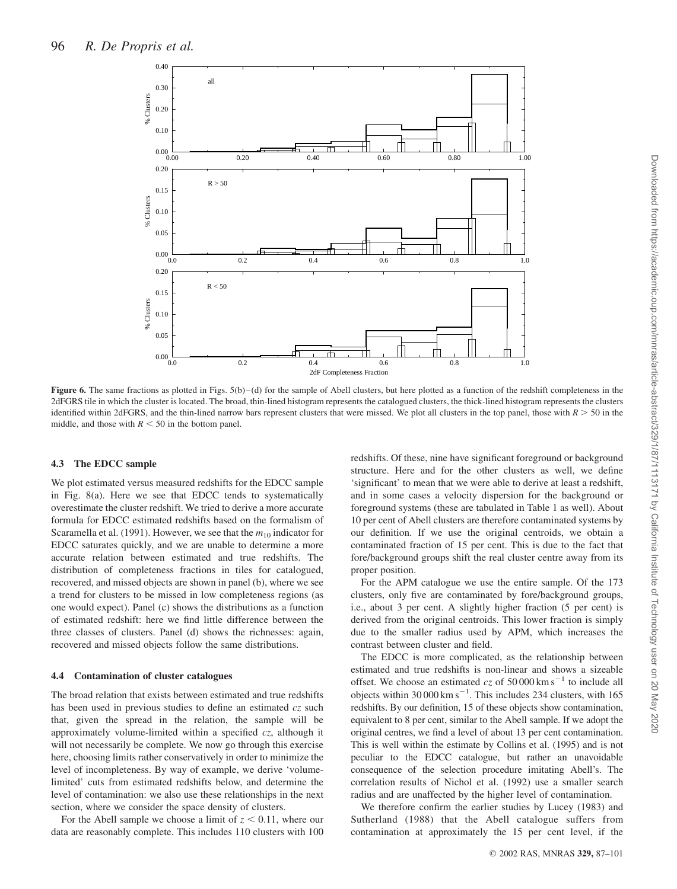

Figure 6. The same fractions as plotted in Figs.  $5(b)$ –(d) for the sample of Abell clusters, but here plotted as a function of the redshift completeness in the 2dFGRS tile in which the cluster is located. The broad, thin-lined histogram represents the catalogued clusters, the thick-lined histogram represents the clusters identified within 2dFGRS, and the thin-lined narrow bars represent clusters that were missed. We plot all clusters in the top panel, those with  $R > 50$  in the middle, and those with  $R < 50$  in the bottom panel.

#### 4.3 The EDCC sample

We plot estimated versus measured redshifts for the EDCC sample in Fig. 8(a). Here we see that EDCC tends to systematically overestimate the cluster redshift. We tried to derive a more accurate formula for EDCC estimated redshifts based on the formalism of Scaramella et al. (1991). However, we see that the  $m_{10}$  indicator for EDCC saturates quickly, and we are unable to determine a more accurate relation between estimated and true redshifts. The distribution of completeness fractions in tiles for catalogued, recovered, and missed objects are shown in panel (b), where we see a trend for clusters to be missed in low completeness regions (as one would expect). Panel (c) shows the distributions as a function of estimated redshift: here we find little difference between the three classes of clusters. Panel (d) shows the richnesses: again, recovered and missed objects follow the same distributions.

## 4.4 Contamination of cluster catalogues

The broad relation that exists between estimated and true redshifts has been used in previous studies to define an estimated  $cz$  such that, given the spread in the relation, the sample will be approximately volume-limited within a specified  $cz$ , although it will not necessarily be complete. We now go through this exercise here, choosing limits rather conservatively in order to minimize the level of incompleteness. By way of example, we derive 'volumelimited' cuts from estimated redshifts below, and determine the level of contamination: we also use these relationships in the next section, where we consider the space density of clusters.

For the Abell sample we choose a limit of  $z \le 0.11$ , where our data are reasonably complete. This includes 110 clusters with 100 redshifts. Of these, nine have significant foreground or background structure. Here and for the other clusters as well, we define 'significant' to mean that we were able to derive at least a redshift, and in some cases a velocity dispersion for the background or foreground systems (these are tabulated in Table 1 as well). About 10 per cent of Abell clusters are therefore contaminated systems by our definition. If we use the original centroids, we obtain a contaminated fraction of 15 per cent. This is due to the fact that fore/background groups shift the real cluster centre away from its proper position.

For the APM catalogue we use the entire sample. Of the 173 clusters, only five are contaminated by fore/background groups, i.e., about 3 per cent. A slightly higher fraction (5 per cent) is derived from the original centroids. This lower fraction is simply due to the smaller radius used by APM, which increases the contrast between cluster and field.

The EDCC is more complicated, as the relationship between estimated and true redshifts is non-linear and shows a sizeable offset. We choose an estimated  $cz$  of 50 000 km s<sup>-1</sup> to include all objects within  $30000 \text{ km s}^{-1}$ . This includes 234 clusters, with 165 redshifts. By our definition, 15 of these objects show contamination, equivalent to 8 per cent, similar to the Abell sample. If we adopt the original centres, we find a level of about 13 per cent contamination. This is well within the estimate by Collins et al. (1995) and is not peculiar to the EDCC catalogue, but rather an unavoidable consequence of the selection procedure imitating Abell's. The correlation results of Nichol et al. (1992) use a smaller search radius and are unaffected by the higher level of contamination.

We therefore confirm the earlier studies by Lucey (1983) and Sutherland (1988) that the Abell catalogue suffers from contamination at approximately the 15 per cent level, if the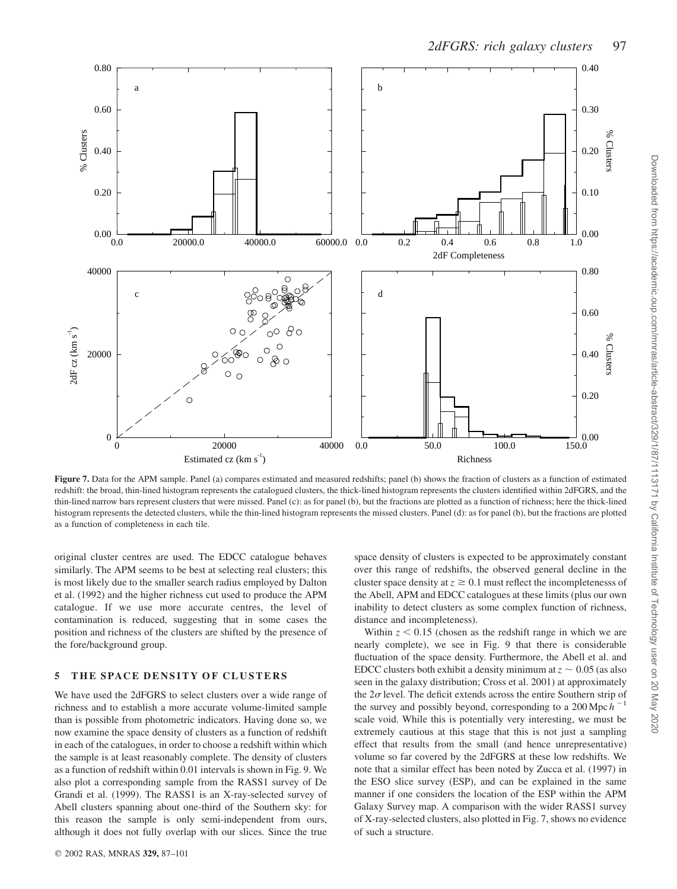

Figure 7. Data for the APM sample. Panel (a) compares estimated and measured redshifts; panel (b) shows the fraction of clusters as a function of estimated redshift: the broad, thin-lined histogram represents the catalogued clusters, the thick-lined histogram represents the clusters identified within 2dFGRS, and the thin-lined narrow bars represent clusters that were missed. Panel (c): as for panel (b), but the fractions are plotted as a function of richness; here the thick-lined histogram represents the detected clusters, while the thin-lined histogram represents the missed clusters. Panel (d): as for panel (b), but the fractions are plotted as a function of completeness in each tile.

original cluster centres are used. The EDCC catalogue behaves similarly. The APM seems to be best at selecting real clusters; this is most likely due to the smaller search radius employed by Dalton et al. (1992) and the higher richness cut used to produce the APM catalogue. If we use more accurate centres, the level of contamination is reduced, suggesting that in some cases the position and richness of the clusters are shifted by the presence of the fore/background group.

## 5 THE SPACE DENSITY OF CLUSTERS

We have used the 2dFGRS to select clusters over a wide range of richness and to establish a more accurate volume-limited sample than is possible from photometric indicators. Having done so, we now examine the space density of clusters as a function of redshift in each of the catalogues, in order to choose a redshift within which the sample is at least reasonably complete. The density of clusters as a function of redshift within 0.01 intervals is shown in Fig. 9. We also plot a corresponding sample from the RASS1 survey of De Grandi et al. (1999). The RASS1 is an X-ray-selected survey of Abell clusters spanning about one-third of the Southern sky: for this reason the sample is only semi-independent from ours, although it does not fully overlap with our slices. Since the true

space density of clusters is expected to be approximately constant over this range of redshifts, the observed general decline in the cluster space density at  $z \ge 0.1$  must reflect the incompletenesss of the Abell, APM and EDCC catalogues at these limits (plus our own inability to detect clusters as some complex function of richness, distance and incompleteness).

Within  $z \le 0.15$  (chosen as the redshift range in which we are nearly complete), we see in Fig. 9 that there is considerable fluctuation of the space density. Furthermore, the Abell et al. and EDCC clusters both exhibit a density minimum at  $z \sim 0.05$  (as also seen in the galaxy distribution; Cross et al. 2001) at approximately the  $2\sigma$  level. The deficit extends across the entire Southern strip of the survey and possibly beyond, corresponding to a  $200$  Mpc  $h$ <sup>-</sup> scale void. While this is potentially very interesting, we must be extremely cautious at this stage that this is not just a sampling effect that results from the small (and hence unrepresentative) volume so far covered by the 2dFGRS at these low redshifts. We note that a similar effect has been noted by Zucca et al. (1997) in the ESO slice survey (ESP), and can be explained in the same manner if one considers the location of the ESP within the APM Galaxy Survey map. A comparison with the wider RASS1 survey of X-ray-selected clusters, also plotted in Fig. 7, shows no evidence of such a structure.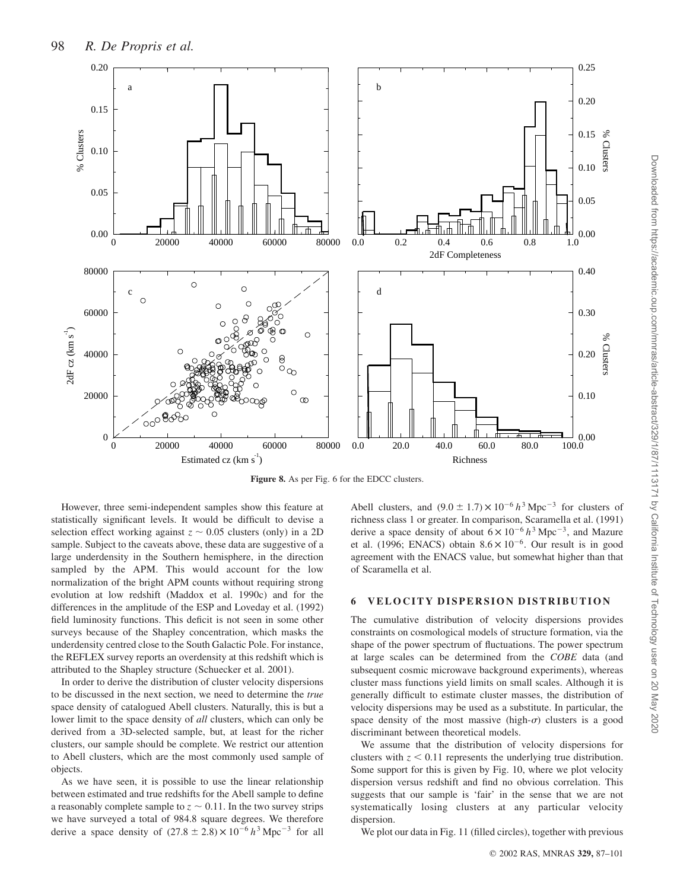

Figure 8. As per Fig. 6 for the EDCC clusters.

However, three semi-independent samples show this feature at statistically significant levels. It would be difficult to devise a selection effect working against  $z \sim 0.05$  clusters (only) in a 2D sample. Subject to the caveats above, these data are suggestive of a large underdensity in the Southern hemisphere, in the direction sampled by the APM. This would account for the low normalization of the bright APM counts without requiring strong evolution at low redshift (Maddox et al. 1990c) and for the differences in the amplitude of the ESP and Loveday et al. (1992) field luminosity functions. This deficit is not seen in some other surveys because of the Shapley concentration, which masks the underdensity centred close to the South Galactic Pole. For instance, the REFLEX survey reports an overdensity at this redshift which is attributed to the Shapley structure (Schuecker et al. 2001).

In order to derive the distribution of cluster velocity dispersions to be discussed in the next section, we need to determine the true space density of catalogued Abell clusters. Naturally, this is but a lower limit to the space density of all clusters, which can only be derived from a 3D-selected sample, but, at least for the richer clusters, our sample should be complete. We restrict our attention to Abell clusters, which are the most commonly used sample of objects.

As we have seen, it is possible to use the linear relationship between estimated and true redshifts for the Abell sample to define a reasonably complete sample to  $z \sim 0.11$ . In the two survey strips we have surveyed a total of 984.8 square degrees. We therefore derive a space density of  $(27.8 \pm 2.8) \times 10^{-6} h^3$  Mpc<sup>-3</sup> for all

Abell clusters, and  $(9.0 \pm 1.7) \times 10^{-6} h^3$  Mpc<sup>-3</sup> for clusters of richness class 1 or greater. In comparison, Scaramella et al. (1991) derive a space density of about  $6 \times 10^{-6} h^3$  Mpc<sup>-3</sup>, and Mazure et al. (1996; ENACS) obtain  $8.6 \times 10^{-6}$ . Our result is in good agreement with the ENACS value, but somewhat higher than that of Scaramella et al.

#### 6 VELOCITY DISPERSION DISTRIBUTION

The cumulative distribution of velocity dispersions provides constraints on cosmological models of structure formation, via the shape of the power spectrum of fluctuations. The power spectrum at large scales can be determined from the COBE data (and subsequent cosmic microwave background experiments), whereas cluster mass functions yield limits on small scales. Although it is generally difficult to estimate cluster masses, the distribution of velocity dispersions may be used as a substitute. In particular, the space density of the most massive (high- $\sigma$ ) clusters is a good discriminant between theoretical models.

We assume that the distribution of velocity dispersions for clusters with  $z \le 0.11$  represents the underlying true distribution. Some support for this is given by Fig. 10, where we plot velocity dispersion versus redshift and find no obvious correlation. This suggests that our sample is 'fair' in the sense that we are not systematically losing clusters at any particular velocity dispersion.

We plot our data in Fig. 11 (filled circles), together with previous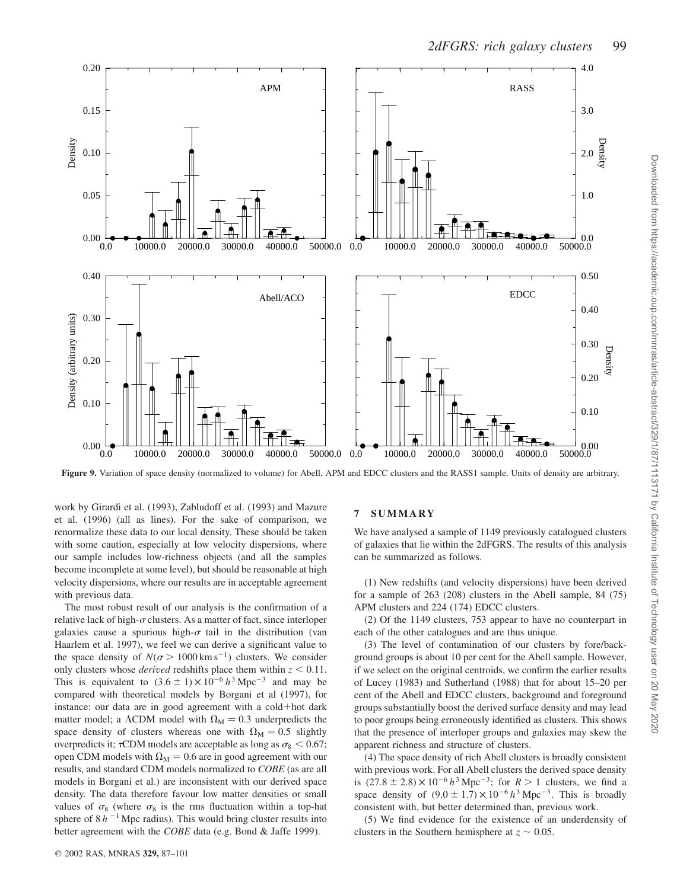

Figure 9. Variation of space density (normalized to volume) for Abell, APM and EDCC clusters and the RASS1 sample. Units of density are arbitrary.

work by Girardi et al. (1993), Zabludoff et al. (1993) and Mazure et al. (1996) (all as lines). For the sake of comparison, we renormalize these data to our local density. These should be taken with some caution, especially at low velocity dispersions, where our sample includes low-richness objects (and all the samples become incomplete at some level), but should be reasonable at high velocity dispersions, where our results are in acceptable agreement with previous data.

The most robust result of our analysis is the confirmation of a relative lack of high- $\sigma$  clusters. As a matter of fact, since interloper galaxies cause a spurious high- $\sigma$  tail in the distribution (van Haarlem et al. 1997), we feel we can derive a significant value to the space density of  $N(\sigma > 1000 \text{ km s}^{-1})$  clusters. We consider only clusters whose *derived* redshifts place them within  $z < 0.11$ . This is equivalent to  $(3.6 \pm 1) \times 10^{-6} h^3$  Mpc<sup>-3</sup> and may be compared with theoretical models by Borgani et al (1997), for instance: our data are in good agreement with a cold+hot dark matter model; a  $\Lambda$ CDM model with  $\Omega_M = 0.3$  underpredicts the space density of clusters whereas one with  $\Omega_M = 0.5$  slightly overpredicts it;  $\tau$ CDM models are acceptable as long as  $\sigma_8 < 0.67$ ; open CDM models with  $\Omega_M = 0.6$  are in good agreement with our results, and standard CDM models normalized to COBE (as are all models in Borgani et al.) are inconsistent with our derived space density. The data therefore favour low matter densities or small values of  $\sigma_8$  (where  $\sigma_8$  is the rms fluctuation within a top-hat sphere of  $8 h^{-1}$  Mpc radius). This would bring cluster results into better agreement with the COBE data (e.g. Bond & Jaffe 1999).

## 7 SUMMARY

We have analysed a sample of 1149 previously catalogued clusters of galaxies that lie within the 2dFGRS. The results of this analysis can be summarized as follows.

(1) New redshifts (and velocity dispersions) have been derived for a sample of 263 (208) clusters in the Abell sample, 84 (75) APM clusters and 224 (174) EDCC clusters.

(2) Of the 1149 clusters, 753 appear to have no counterpart in each of the other catalogues and are thus unique.

(3) The level of contamination of our clusters by fore/background groups is about 10 per cent for the Abell sample. However, if we select on the original centroids, we confirm the earlier results of Lucey (1983) and Sutherland (1988) that for about 15–20 per cent of the Abell and EDCC clusters, background and foreground groups substantially boost the derived surface density and may lead to poor groups being erroneously identified as clusters. This shows that the presence of interloper groups and galaxies may skew the apparent richness and structure of clusters.

(4) The space density of rich Abell clusters is broadly consistent with previous work. For all Abell clusters the derived space density is  $(27.8 \pm 2.8) \times 10^{-6} h^3$  Mpc<sup>-3</sup>; for  $R > 1$  clusters, we find a space density of  $(9.0 \pm 1.7) \times 10^{-6} h^3$  Mpc<sup>-3</sup>. This is broadly consistent with, but better determined than, previous work.

(5) We find evidence for the existence of an underdensity of clusters in the Southern hemisphere at  $z \sim 0.05$ .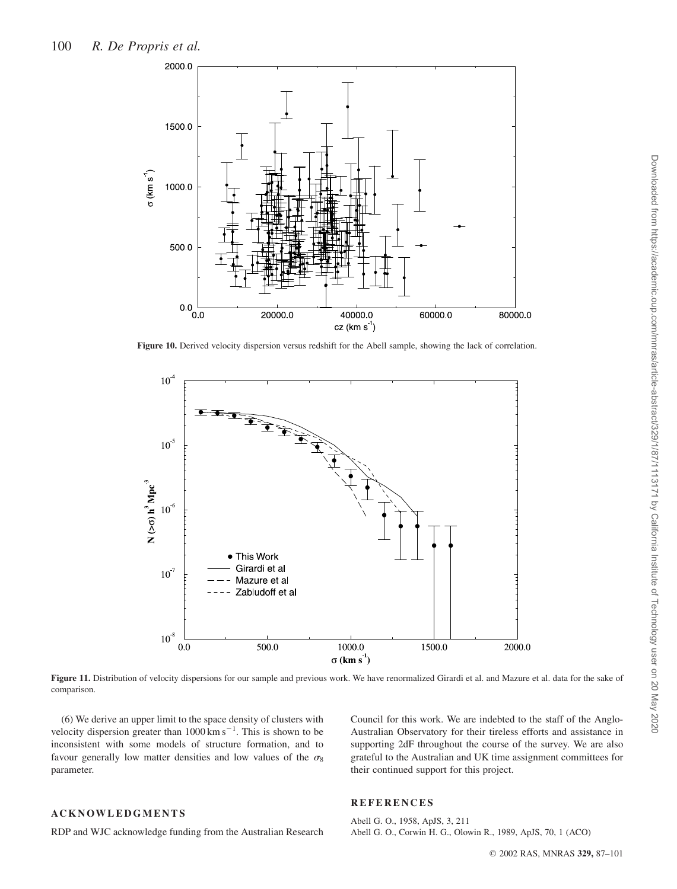

Figure 10. Derived velocity dispersion versus redshift for the Abell sample, showing the lack of correlation.



Figure 11. Distribution of velocity dispersions for our sample and previous work. We have renormalized Girardi et al. and Mazure et al. data for the sake of comparison.

(6) We derive an upper limit to the space density of clusters with velocity dispersion greater than  $1000 \text{ km s}^{-1}$ . This is shown to be inconsistent with some models of structure formation, and to favour generally low matter densities and low values of the  $\sigma_8$ parameter.

Council for this work. We are indebted to the staff of the Anglo-Australian Observatory for their tireless efforts and assistance in supporting 2dF throughout the course of the survey. We are also grateful to the Australian and UK time assignment committees for their continued support for this project.

#### ACKNOWLEDGMENTS

RDP and WJC acknowledge funding from the Australian Research

## **REFERENCES**

Abell G. O., 1958, ApJS, 3, 211 Abell G. O., Corwin H. G., Olowin R., 1989, ApJS, 70, 1 (ACO)